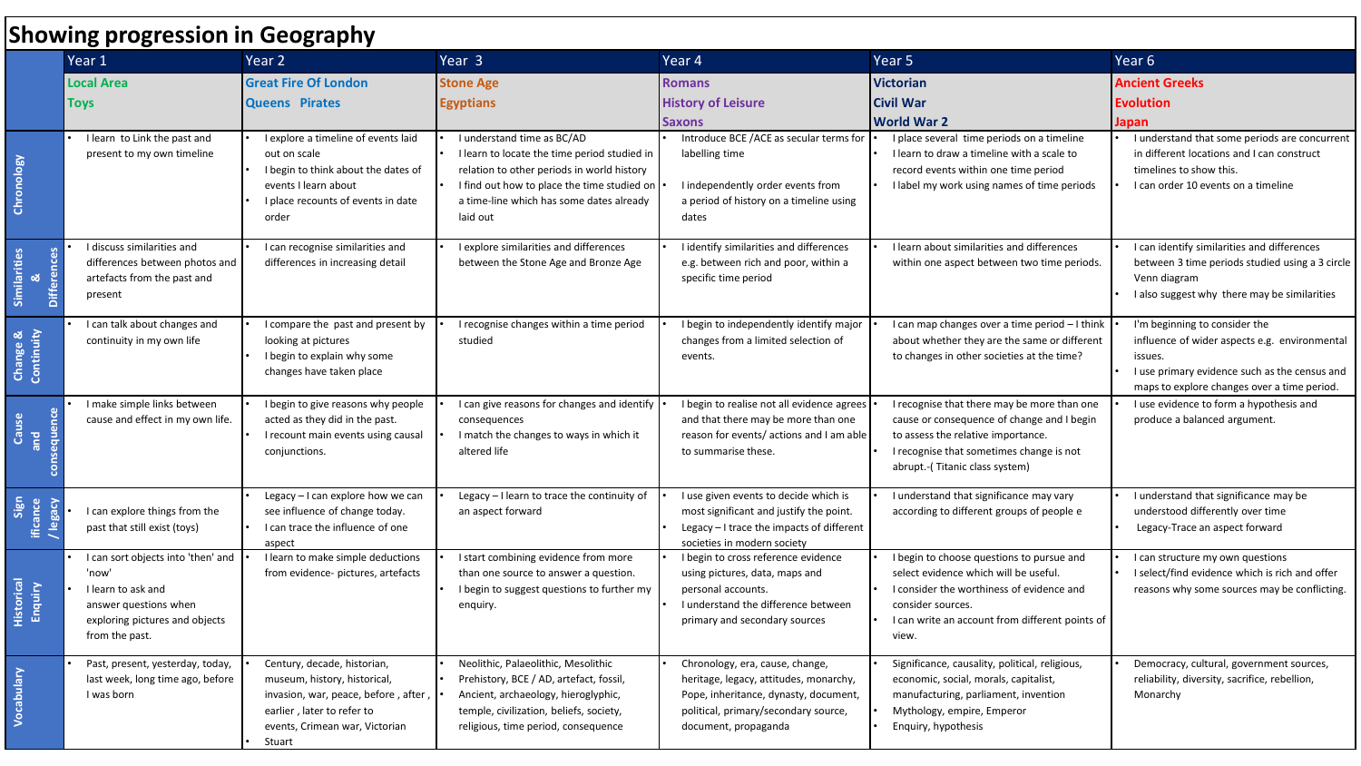| <b>Showing progression in Geography</b> |                                                                                                                                                |                                                                                                                                                                               |                                                                                                                                                                                                                                 |                                                                                                                                                                                    |                                                                                                                                                                                                                  |                                                                                                                                                                                           |  |  |  |  |
|-----------------------------------------|------------------------------------------------------------------------------------------------------------------------------------------------|-------------------------------------------------------------------------------------------------------------------------------------------------------------------------------|---------------------------------------------------------------------------------------------------------------------------------------------------------------------------------------------------------------------------------|------------------------------------------------------------------------------------------------------------------------------------------------------------------------------------|------------------------------------------------------------------------------------------------------------------------------------------------------------------------------------------------------------------|-------------------------------------------------------------------------------------------------------------------------------------------------------------------------------------------|--|--|--|--|
|                                         | Year 1                                                                                                                                         | Year 2                                                                                                                                                                        | Year <sub>3</sub>                                                                                                                                                                                                               | Year 4                                                                                                                                                                             | Year 5                                                                                                                                                                                                           | Year 6                                                                                                                                                                                    |  |  |  |  |
|                                         | <b>Local Area</b><br><b>Toys</b>                                                                                                               | <b>Great Fire Of London</b><br><b>Queens Pirates</b>                                                                                                                          | <b>Stone Age</b><br><b>Egyptians</b>                                                                                                                                                                                            | <b>Romans</b><br><b>History of Leisure</b><br><b>Saxons</b>                                                                                                                        | <b>Victorian</b><br><b>Civil War</b><br><b>World War 2</b>                                                                                                                                                       | <b>Ancient Greeks</b><br><b>Evolution</b><br>Japan                                                                                                                                        |  |  |  |  |
| Chronology                              | I learn to Link the past and<br>present to my own timeline                                                                                     | I explore a timeline of events laid<br>out on scale<br>I begin to think about the dates of<br>events I learn about<br>I place recounts of events in date<br>order             | I understand time as BC/AD<br>I learn to locate the time period studied in<br>relation to other periods in world history<br>I find out how to place the time studied on<br>a time-line which has some dates already<br>laid out | Introduce BCE /ACE as secular terms for<br>labelling time<br>I independently order events from<br>a period of history on a timeline using<br>dates                                 | I place several time periods on a timeline<br>I learn to draw a timeline with a scale to<br>record events within one time period<br>I label my work using names of time periods                                  | I understand that some periods are concurrent<br>in different locations and I can construct<br>timelines to show this.<br>I can order 10 events on a timeline                             |  |  |  |  |
| Similarities<br><b>Differences</b><br>ಹ | I discuss similarities and<br>differences between photos and<br>artefacts from the past and<br>present                                         | I can recognise similarities and<br>differences in increasing detail                                                                                                          | I explore similarities and differences<br>between the Stone Age and Bronze Age                                                                                                                                                  | I identify similarities and differences<br>e.g. between rich and poor, within a<br>specific time period                                                                            | I learn about similarities and differences<br>within one aspect between two time periods.                                                                                                                        | I can identify similarities and differences<br>between 3 time periods studied using a 3 circle<br>Venn diagram<br>I also suggest why there may be similarities                            |  |  |  |  |
| Change &<br>Continuity                  | I can talk about changes and<br>continuity in my own life                                                                                      | I compare the past and present by<br>looking at pictures<br>I begin to explain why some<br>changes have taken place                                                           | I recognise changes within a time period<br>studied                                                                                                                                                                             | I begin to independently identify major<br>changes from a limited selection of<br>events.                                                                                          | I can map changes over a time period - I think<br>about whether they are the same or different<br>to changes in other societies at the time?                                                                     | I'm beginning to consider the<br>influence of wider aspects e.g. environmental<br>issues.<br>I use primary evidence such as the census and<br>maps to explore changes over a time period. |  |  |  |  |
| consequence<br>Cause<br>and             | I make simple links between<br>cause and effect in my own life.                                                                                | I begin to give reasons why people<br>acted as they did in the past.<br>I recount main events using causal<br>conjunctions.                                                   | I can give reasons for changes and identify<br>consequences<br>I match the changes to ways in which it<br>altered life                                                                                                          | I begin to realise not all evidence agrees<br>and that there may be more than one<br>reason for events/ actions and I am able<br>to summarise these.                               | I recognise that there may be more than one<br>cause or consequence of change and I begin<br>to assess the relative importance.<br>I recognise that sometimes change is not<br>abrupt.-(Titanic class system)    | I use evidence to form a hypothesis and<br>produce a balanced argument.                                                                                                                   |  |  |  |  |
| Sign<br>ificance<br>legacy              | I can explore things from the<br>past that still exist (toys)                                                                                  | Legacy - I can explore how we can<br>see influence of change today.<br>I can trace the influence of one<br>aspect                                                             | Legacy - I learn to trace the continuity of<br>an aspect forward                                                                                                                                                                | I use given events to decide which is<br>most significant and justify the point.<br>Legacy - I trace the impacts of different<br>societies in modern society                       | I understand that significance may vary<br>according to different groups of people e                                                                                                                             | I understand that significance may be<br>understood differently over time<br>Legacy-Trace an aspect forward                                                                               |  |  |  |  |
| <b>Historical</b><br>Enquiry            | I can sort objects into 'then' and<br>'now'<br>I learn to ask and<br>answer questions when<br>exploring pictures and objects<br>from the past. | I learn to make simple deductions<br>from evidence- pictures, artefacts                                                                                                       | I start combining evidence from more<br>than one source to answer a question.<br>I begin to suggest questions to further my<br>enquiry.                                                                                         | I begin to cross reference evidence<br>using pictures, data, maps and<br>personal accounts.<br>I understand the difference between<br>primary and secondary sources                | I begin to choose questions to pursue and<br>select evidence which will be useful.<br>I consider the worthiness of evidence and<br>consider sources.<br>I can write an account from different points of<br>view. | I can structure my own questions<br>I select/find evidence which is rich and offer<br>reasons why some sources may be conflicting.                                                        |  |  |  |  |
| Vocabulary                              | Past, present, yesterday, today,<br>last week, long time ago, before<br>I was born                                                             | Century, decade, historian,<br>museum, history, historical,<br>invasion, war, peace, before, after,<br>earlier, later to refer to<br>events, Crimean war, Victorian<br>Stuart | Neolithic, Palaeolithic, Mesolithic<br>Prehistory, BCE / AD, artefact, fossil,<br>Ancient, archaeology, hieroglyphic,<br>temple, civilization, beliefs, society,<br>religious, time period, consequence                         | Chronology, era, cause, change,<br>heritage, legacy, attitudes, monarchy,<br>Pope, inheritance, dynasty, document,<br>political, primary/secondary source,<br>document, propaganda | Significance, causality, political, religious,<br>economic, social, morals, capitalist,<br>manufacturing, parliament, invention<br>Mythology, empire, Emperor<br>Enquiry, hypothesis                             | Democracy, cultural, government sources,<br>reliability, diversity, sacrifice, rebellion,<br>Monarchy                                                                                     |  |  |  |  |